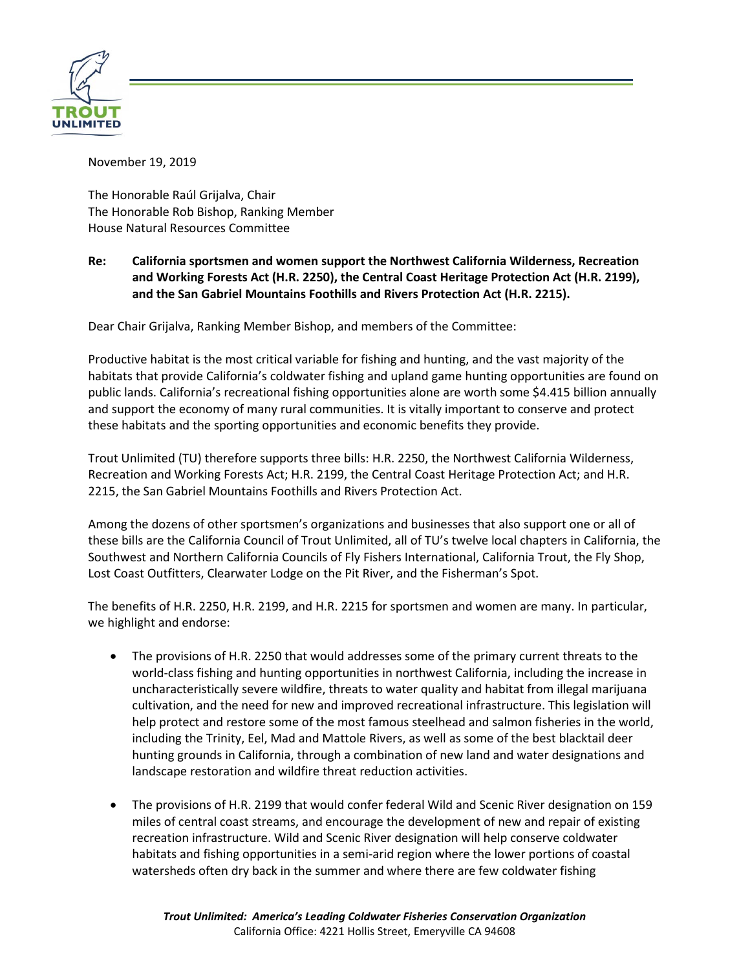

November 19, 2019

The Honorable Raúl Grijalva, Chair The Honorable Rob Bishop, Ranking Member House Natural Resources Committee

## **Re: California sportsmen and women support the Northwest California Wilderness, Recreation and Working Forests Act (H.R. 2250), the Central Coast Heritage Protection Act (H.R. 2199), and the San Gabriel Mountains Foothills and Rivers Protection Act (H.R. 2215).**

Dear Chair Grijalva, Ranking Member Bishop, and members of the Committee:

Productive habitat is the most critical variable for fishing and hunting, and the vast majority of the habitats that provide California's coldwater fishing and upland game hunting opportunities are found on public lands. California's recreational fishing opportunities alone are worth some \$4.415 billion annually and support the economy of many rural communities. It is vitally important to conserve and protect these habitats and the sporting opportunities and economic benefits they provide.

Trout Unlimited (TU) therefore supports three bills: H.R. 2250, the Northwest California Wilderness, Recreation and Working Forests Act; H.R. 2199, the Central Coast Heritage Protection Act; and H.R. 2215, the San Gabriel Mountains Foothills and Rivers Protection Act.

Among the dozens of other sportsmen's organizations and businesses that also support one or all of these bills are the California Council of Trout Unlimited, all of TU's twelve local chapters in California, the Southwest and Northern California Councils of Fly Fishers International, California Trout, the Fly Shop, Lost Coast Outfitters, Clearwater Lodge on the Pit River, and the Fisherman's Spot.

The benefits of H.R. 2250, H.R. 2199, and H.R. 2215 for sportsmen and women are many. In particular, we highlight and endorse:

- The provisions of H.R. 2250 that would addresses some of the primary current threats to the world-class fishing and hunting opportunities in northwest California, including the increase in uncharacteristically severe wildfire, threats to water quality and habitat from illegal marijuana cultivation, and the need for new and improved recreational infrastructure. This legislation will help protect and restore some of the most famous steelhead and salmon fisheries in the world, including the Trinity, Eel, Mad and Mattole Rivers, as well as some of the best blacktail deer hunting grounds in California, through a combination of new land and water designations and landscape restoration and wildfire threat reduction activities.
- The provisions of H.R. 2199 that would confer federal Wild and Scenic River designation on 159 miles of central coast streams, and encourage the development of new and repair of existing recreation infrastructure. Wild and Scenic River designation will help conserve coldwater habitats and fishing opportunities in a semi-arid region where the lower portions of coastal watersheds often dry back in the summer and where there are few coldwater fishing